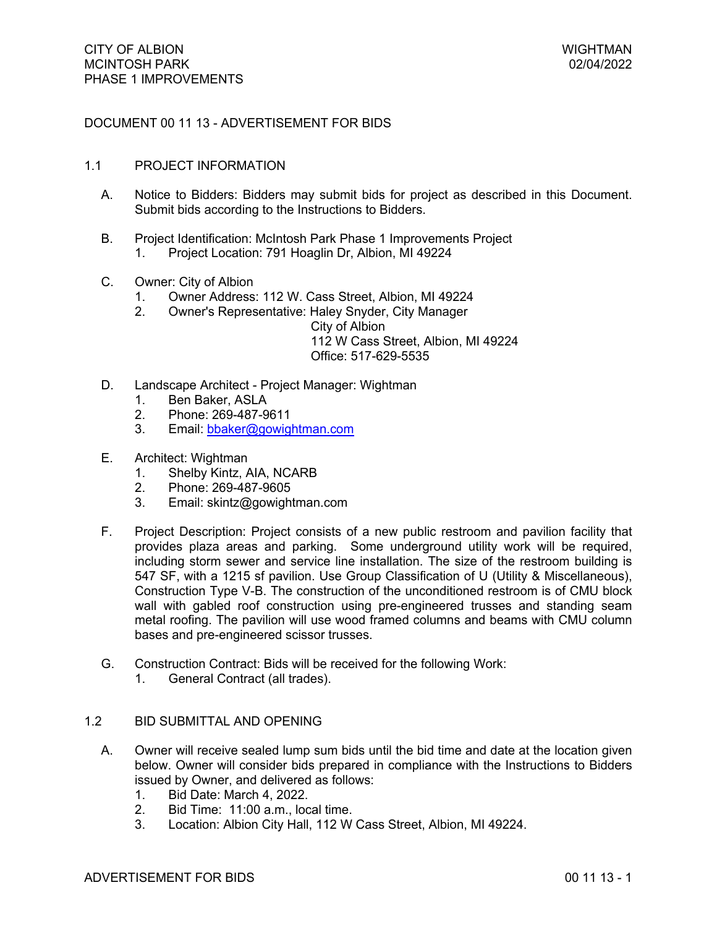# DOCUMENT 00 11 13 - ADVERTISEMENT FOR BIDS

### 1.1 PROJECT INFORMATION

- A. Notice to Bidders: Bidders may submit bids for project as described in this Document. Submit bids according to the Instructions to Bidders.
- B. Project Identification: McIntosh Park Phase 1 Improvements Project 1. Project Location: 791 Hoaglin Dr, Albion, MI 49224
- C. Owner: City of Albion
	- 1. Owner Address: 112 W. Cass Street, Albion, MI 49224
	- 2. Owner's Representative: Haley Snyder, City Manager

City of Albion

112 W Cass Street, Albion, MI 49224 Office: 517-629-5535

- D. Landscape Architect Project Manager: Wightman
	- 1. Ben Baker, ASLA<br>2. Phone: 269-487-9
	- 2. Phone: 269-487-9611
	- 3. Email: [bbaker@gowightman.com](mailto:bbaker@gowightman.com)
- E. Architect: Wightman
	- 1. Shelby Kintz, AIA, NCARB
	- 2. Phone: 269-487-9605
	- 3. Email: skintz@gowightman.com
- F. Project Description: Project consists of a new public restroom and pavilion facility that provides plaza areas and parking. Some underground utility work will be required, including storm sewer and service line installation. The size of the restroom building is 547 SF, with a 1215 sf pavilion. Use Group Classification of U (Utility & Miscellaneous), Construction Type V-B. The construction of the unconditioned restroom is of CMU block wall with gabled roof construction using pre-engineered trusses and standing seam metal roofing. The pavilion will use wood framed columns and beams with CMU column bases and pre-engineered scissor trusses.
- G. Construction Contract: Bids will be received for the following Work:
	- 1. General Contract (all trades).

## 1.2 BID SUBMITTAL AND OPENING

- A. Owner will receive sealed lump sum bids until the bid time and date at the location given below. Owner will consider bids prepared in compliance with the Instructions to Bidders issued by Owner, and delivered as follows:
	- 1. Bid Date: March 4, 2022.
	- 2. Bid Time: 11:00 a.m., local time.
	- 3. Location: Albion City Hall, 112 W Cass Street, Albion, MI 49224.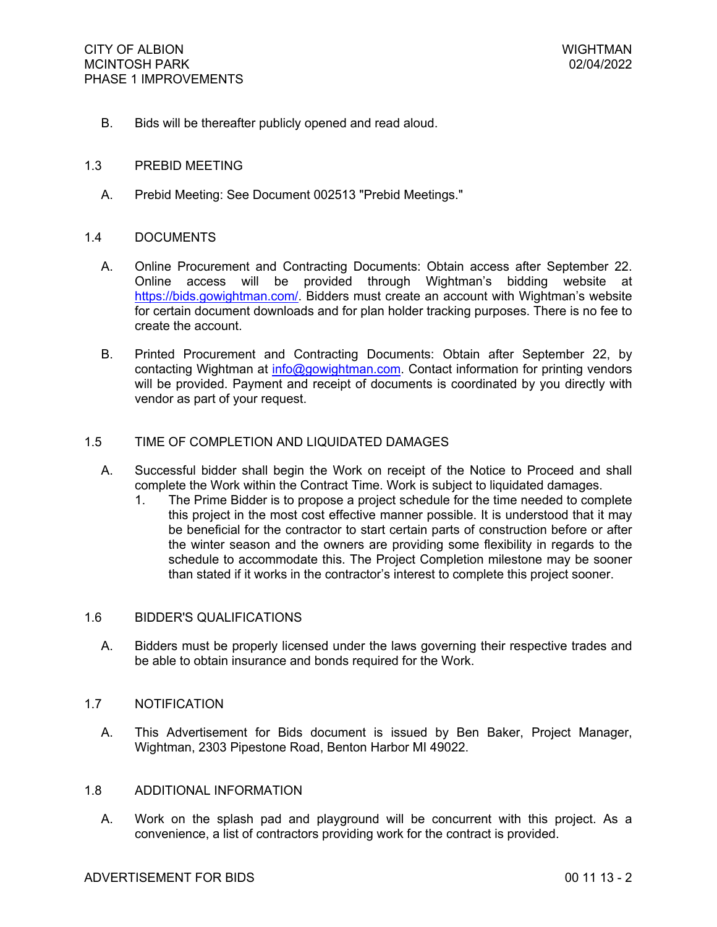B. Bids will be thereafter publicly opened and read aloud.

### 1.3 PREBID MEETING

A. Prebid Meeting: See Document 002513 "Prebid Meetings."

### 1.4 DOCUMENTS

- A. Online Procurement and Contracting Documents: Obtain access after September 22. Online access will be provided through Wightman's bidding website at [https://bids.gowightman.com/.](https://bids.gowightman.com/) Bidders must create an account with Wightman's website for certain document downloads and for plan holder tracking purposes. There is no fee to create the account.
- B. Printed Procurement and Contracting Documents: Obtain after September 22, by contacting Wightman at [info@gowightman.com](mailto:info@gowightman.com). Contact information for printing vendors will be provided. Payment and receipt of documents is coordinated by you directly with vendor as part of your request.

## 1.5 TIME OF COMPLETION AND LIQUIDATED DAMAGES

- A. Successful bidder shall begin the Work on receipt of the Notice to Proceed and shall complete the Work within the Contract Time. Work is subject to liquidated damages.
	- 1. The Prime Bidder is to propose a project schedule for the time needed to complete this project in the most cost effective manner possible. It is understood that it may be beneficial for the contractor to start certain parts of construction before or after the winter season and the owners are providing some flexibility in regards to the schedule to accommodate this. The Project Completion milestone may be sooner than stated if it works in the contractor's interest to complete this project sooner.

#### 1.6 BIDDER'S QUALIFICATIONS

A. Bidders must be properly licensed under the laws governing their respective trades and be able to obtain insurance and bonds required for the Work.

## 1.7 NOTIFICATION

A. This Advertisement for Bids document is issued by Ben Baker, Project Manager, Wightman, 2303 Pipestone Road, Benton Harbor MI 49022.

#### 1.8 ADDITIONAL INFORMATION

A. Work on the splash pad and playground will be concurrent with this project. As a convenience, a list of contractors providing work for the contract is provided.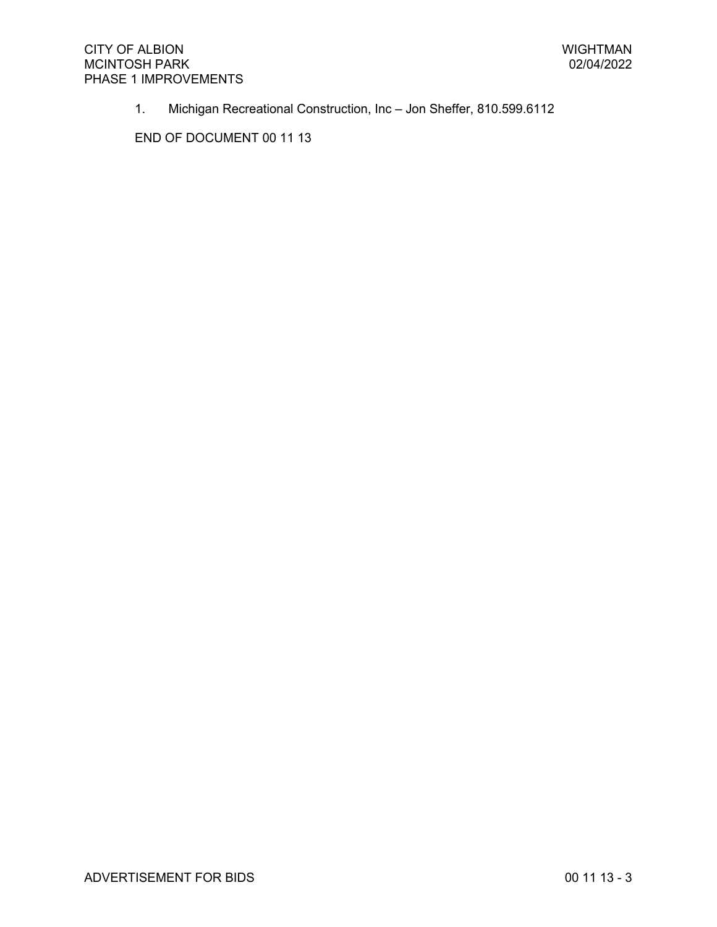1. Michigan Recreational Construction, Inc – Jon Sheffer, 810.599.6112

END OF DOCUMENT 00 11 13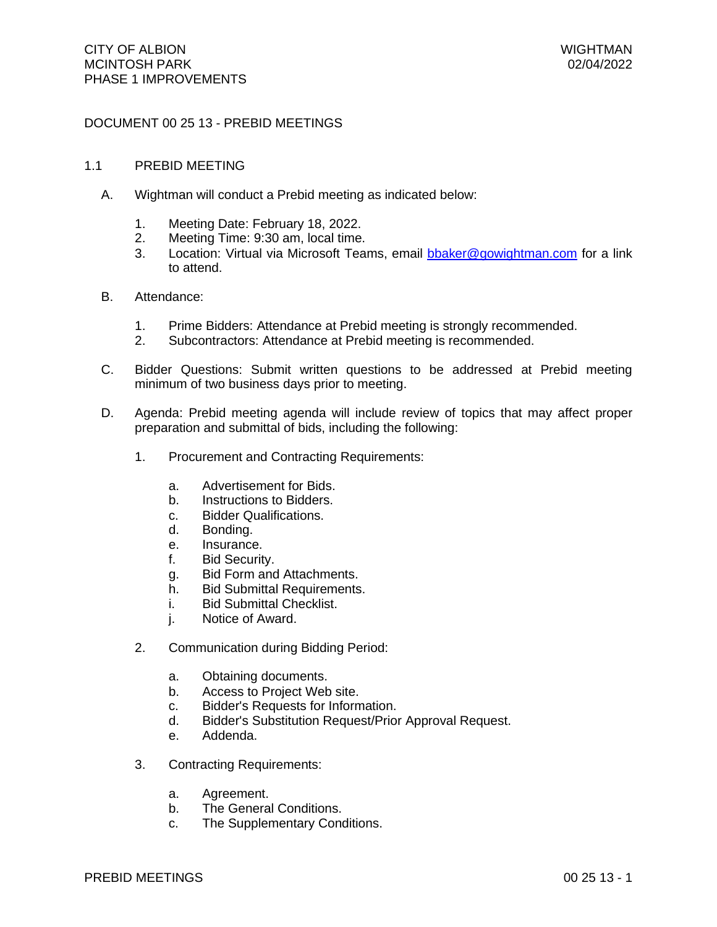# DOCUMENT 00 25 13 - PREBID MEETINGS

### 1.1 PREBID MEETING

- A. Wightman will conduct a Prebid meeting as indicated below:
	- 1. Meeting Date: February 18, 2022.
	- 2. Meeting Time: 9:30 am, local time.
	- 3. Location: Virtual via Microsoft Teams, email [bbaker@gowightman.com](mailto:bbaker@gowightman.com) for a link to attend.
- B. Attendance:
	- 1. Prime Bidders: Attendance at Prebid meeting is strongly recommended.
	- 2. Subcontractors: Attendance at Prebid meeting is recommended.
- C. Bidder Questions: Submit written questions to be addressed at Prebid meeting minimum of two business days prior to meeting.
- D. Agenda: Prebid meeting agenda will include review of topics that may affect proper preparation and submittal of bids, including the following:
	- 1. Procurement and Contracting Requirements:
		- a. Advertisement for Bids.
		- b. Instructions to Bidders.
		- c. Bidder Qualifications.
		- d. Bonding.
		- e. Insurance.
		- f. Bid Security.
		- g. Bid Form and Attachments.
		- h. Bid Submittal Requirements.
		- i. Bid Submittal Checklist.
		- j. Notice of Award.
	- 2. Communication during Bidding Period:
		- a. Obtaining documents.
		- b. Access to Project Web site.
		- c. Bidder's Requests for Information.
		- d. Bidder's Substitution Request/Prior Approval Request.
		- e. Addenda.
	- 3. Contracting Requirements:
		- a. Agreement.
		- b. The General Conditions.
		- c. The Supplementary Conditions.